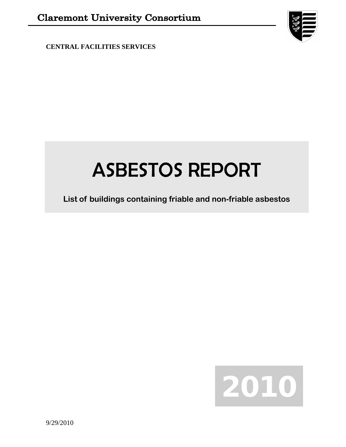**CENTRAL FACILITIES SERVICES**



# ASBESTOS REPORT

**List of buildings containing friable and non-friable asbestos**

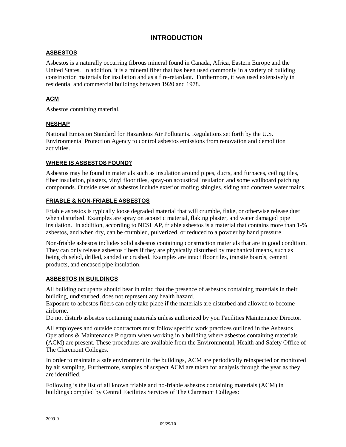## **INTRODUCTION**

## **ASBESTOS**

Asbestos is a naturally occurring fibrous mineral found in Canada, Africa, Eastern Europe and the United States. In addition, it is a mineral fiber that has been used commonly in a variety of building construction materials for insulation and as a fire-retardant. Furthermore, it was used extensively in residential and commercial buildings between 1920 and 1978.

## **ACM**

Asbestos containing material.

## **NESHAP**

National Emission Standard for Hazardous Air Pollutants. Regulations set forth by the U.S. Environmental Protection Agency to control asbestos emissions from renovation and demolition activities.

## **WHERE IS ASBESTOS FOUND?**

Asbestos may be found in materials such as insulation around pipes, ducts, and furnaces, ceiling tiles, fiber insulation, plasters, vinyl floor tiles, spray-on acoustical insulation and some wallboard patching compounds. Outside uses of asbestos include exterior roofing shingles, siding and concrete water mains.

## **FRIABLE & NON-FRIABLE ASBESTOS**

Friable asbestos is typically loose degraded material that will crumble, flake, or otherwise release dust when disturbed. Examples are spray on acoustic material, flaking plaster, and water damaged pipe insulation. In addition, according to NESHAP, friable asbestos is a material that contains more than 1-% asbestos, and when dry, can be crumbled, pulverized, or reduced to a powder by hand pressure.

Non-friable asbestos includes solid asbestos containing construction materials that are in good condition. They can only release asbestos fibers if they are physically disturbed by mechanical means, such as being chiseled, drilled, sanded or crushed. Examples are intact floor tiles, transite boards, cement products, and encased pipe insulation.

## **ASBESTOS IN BUILDINGS**

All building occupants should bear in mind that the presence of asbestos containing materials in their building, undisturbed, does not represent any health hazard.

Exposure to asbestos fibers can only take place if the materials are disturbed and allowed to become airborne.

Do not disturb asbestos containing materials unless authorized by you Facilities Maintenance Director.

All employees and outside contractors must follow specific work practices outlined in the Asbestos Operations & Maintenance Program when working in a building where asbestos containing materials (ACM) are present. These procedures are available from the Environmental, Health and Safety Office of The Claremont Colleges.

In order to maintain a safe environment in the buildings, ACM are periodically reinspected or monitored by air sampling. Furthermore, samples of suspect ACM are taken for analysis through the year as they are identified.

Following is the list of all known friable and no-friable asbestos containing materials (ACM) in buildings compiled by Central Facilities Services of The Claremont Colleges: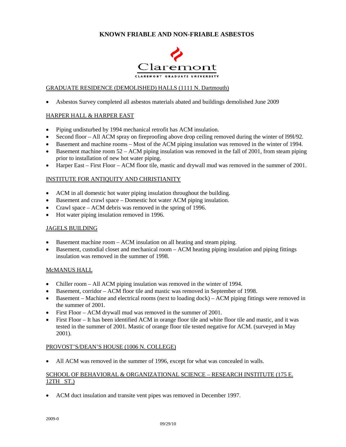

## GRADUATE RESIDENCE (DEMOLISHED) HALLS (1111 N. Dartmouth)

• Asbestos Survey completed all asbestos materials abated and buildings demolished June 2009

## HARPER HALL & HARPER EAST

- Piping undisturbed by 1994 mechanical retrofit has ACM insulation.
- Second floor All ACM spray on fireproofing above drop ceiling removed during the winter of l99l/92.
- Basement and machine rooms Most of the ACM piping insulation was removed in the winter of 1994.
- Basement machine room  $52 ACM$  piping insulation was removed in the fall of 2001, from steam piping prior to installation of new hot water piping.
- Harper East First Floor ACM floor tile, mastic and drywall mud was removed in the summer of 2001.

## INSTITUTE FOR ANTIQUITY AND CHRISTIANITY

- ACM in all domestic hot water piping insulation throughout the building.
- Basement and crawl space Domestic hot water ACM piping insulation.
- Crawl space ACM debris was removed in the spring of 1996.
- Hot water piping insulation removed in 1996.

#### JAGELS BUILDING

- Basement machine room ACM insulation on all heating and steam piping.
- Basement, custodial closet and mechanical room ACM heating piping insulation and piping fittings insulation was removed in the summer of 1998.

#### McMANUS HALL

- Chiller room All ACM piping insulation was removed in the winter of 1994.
- Basement, corridor ACM floor tile and mastic was removed in September of 1998.
- Basement Machine and electrical rooms (next to loading dock) ACM piping fittings were removed in the summer of 2001.
- First Floor ACM drywall mud was removed in the summer of 2001.
- First Floor It has been identified ACM in orange floor tile and white floor tile and mastic, and it was tested in the summer of 2001. Mastic of orange floor tile tested negative for ACM. (surveyed in May 2001).

#### PROVOST'S/DEAN'S HOUSE (1006 N. COLLEGE)

• All ACM was removed in the summer of 1996, except for what was concealed in walls.

## SCHOOL OF BEHAVIORAL & ORGANIZATIONAL SCIENCE – RESEARCH INSTITUTE (175 E. 12TH ST.)

• ACM duct insulation and transite vent pipes was removed in December 1997.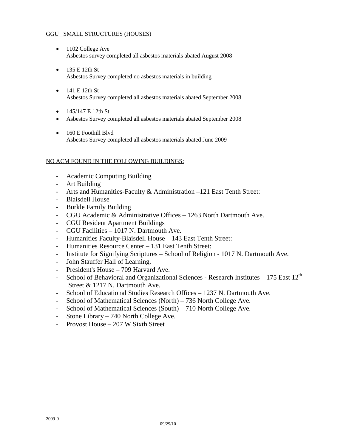## GGU SMALL STRUCTURES (HOUSES)

- 1102 College Ave Asbestos survey completed all asbestos materials abated August 2008
- 135 E 12th St Asbestos Survey completed no asbestos materials in building
- 141 E 12th St Asbestos Survey completed all asbestos materials abated September 2008
- 145/147 E 12th St
- Asbestos Survey completed all asbestos materials abated September 2008
- 160 E Foothill Blvd Asbestos Survey completed all asbestos materials abated June 2009

## NO ACM FOUND IN THE FOLLOWING BUILDINGS:

- Academic Computing Building
- Art Building
- Arts and Humanities-Faculty & Administration –121 East Tenth Street:
- Blaisdell House
- Burkle Family Building
- CGU Academic & Administrative Offices 1263 North Dartmouth Ave.
- CGU Resident Apartment Buildings
- CGU Facilities 1017 N. Dartmouth Ave.
- Humanities Faculty-Blaisdell House 143 East Tenth Street:
- Humanities Resource Center 131 East Tenth Street:
- Institute for Signifying Scriptures School of Religion 1017 N. Dartmouth Ave.
- John Stauffer Hall of Learning.
- President's House 709 Harvard Ave.
- School of Behavioral and Organizational Sciences Research Institutes  $-175$  East  $12<sup>th</sup>$ Street & 1217 N. Dartmouth Ave.
- School of Educational Studies Research Offices 1237 N. Dartmouth Ave.
- School of Mathematical Sciences (North) 736 North College Ave.
- School of Mathematical Sciences (South) 710 North College Ave.
- Stone Library 740 North College Ave.
- Provost House 207 W Sixth Street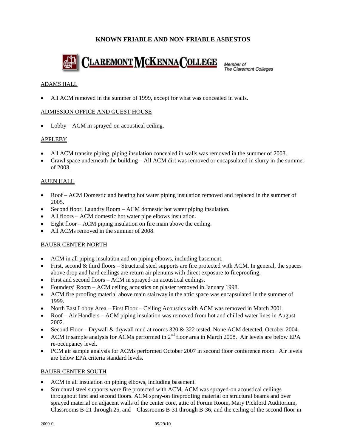

Member of The Claremont Colleges

## ADAMS HALL

All ACM removed in the summer of 1999, except for what was concealed in walls.

## ADMISSION OFFICE AND GUEST HOUSE

• Lobby – ACM in sprayed-on acoustical ceiling.

## **APPLEBY**

- All ACM transite piping, piping insulation concealed in walls was removed in the summer of 2003.
- Crawl space underneath the building All ACM dirt was removed or encapsulated in slurry in the summer of 2003.

## AUEN HALL

- Roof ACM Domestic and heating hot water piping insulation removed and replaced in the summer of 2005.
- Second floor, Laundry Room ACM domestic hot water piping insulation.
- All floors ACM domestic hot water pipe elbows insulation.
- Eight floor ACM piping insulation on fire main above the ceiling.
- All ACMs removed in the summer of 2008.

## BAUER CENTER NORTH

- ACM in all piping insulation and on piping elbows, including basement.
- First, second  $&$  third floors Structural steel supports are fire protected with ACM. In general, the spaces above drop and hard ceilings are return air plenums with direct exposure to fireproofing.
- First and second floors ACM in sprayed-on acoustical ceilings.
- Founders' Room ACM ceiling acoustics on plaster removed in January 1998.
- ACM fire proofing material above main stairway in the attic space was encapsulated in the summer of 1999.
- North East Lobby Area First Floor Ceiling Acoustics with ACM was removed in March 2001.
- Roof Air Handlers ACM piping insulation was removed from hot and chilled water lines in August 2002.
- Second Floor Drywall & drywall mud at rooms 320 & 322 tested. None ACM detected, October 2004.
- ACM ir sample analysis for ACMs performed in  $2<sup>nd</sup>$  floor area in March 2008. Air levels are below EPA re-occupancy level.
- PCM air sample analysis for ACMs performed October 2007 in second floor conference room. Air levels are below EPA criteria standard levels.

#### BAUER CENTER SOUTH

- ACM in all insulation on piping elbows, including basement.
- Structural steel supports were fire protected with ACM. ACM was sprayed-on acoustical ceilings throughout first and second floors. ACM spray-on fireproofing material on structural beams and over sprayed material on adjacent walls of the center core, attic of Forum Room, Mary Pickford Auditorium, Classrooms B-21 through 25, and Classrooms B-31 through B-36, and the ceiling of the second floor in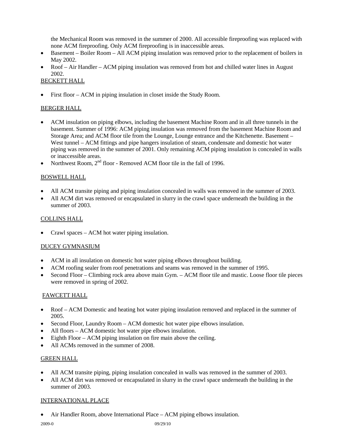the Mechanical Room was removed in the summer of 2000. All accessible fireproofing was replaced with none ACM fireproofing. Only ACM fireproofing is in inaccessible areas.

- Basement Boiler Room All ACM piping insulation was removed prior to the replacement of boilers in May 2002.
- Roof Air Handler ACM piping insulation was removed from hot and chilled water lines in August 2002.

## BECKETT HALL

• First floor – ACM in piping insulation in closet inside the Study Room.

## BERGER HALL

- ACM insulation on piping elbows, including the basement Machine Room and in all three tunnels in the basement. Summer of 1996: ACM piping insulation was removed from the basement Machine Room and Storage Area; and ACM floor tile from the Lounge, Lounge entrance and the Kitchenette. Basement – West tunnel – ACM fittings and pipe hangers insulation of steam, condensate and domestic hot water piping was removed in the summer of 2001. Only remaining ACM piping insulation is concealed in walls or inaccessible areas.
- Northwest Room,  $2<sup>nd</sup>$  floor Removed ACM floor tile in the fall of 1996.

## BOSWELL HALL

- All ACM transite piping and piping insulation concealed in walls was removed in the summer of 2003.
- All ACM dirt was removed or encapsulated in slurry in the crawl space underneath the building in the summer of 2003.

## COLLINS HALL

• Crawl spaces – ACM hot water piping insulation.

## DUCEY GYMNASIUM

- ACM in all insulation on domestic hot water piping elbows throughout building.
- ACM roofing sealer from roof penetrations and seams was removed in the summer of 1995.
- Second Floor Climbing rock area above main Gym. ACM floor tile and mastic. Loose floor tile pieces were removed in spring of 2002.

#### FAWCETT HALL

- Roof ACM Domestic and heating hot water piping insulation removed and replaced in the summer of 2005.
- Second Floor, Laundry Room ACM domestic hot water pipe elbows insulation.
- All floors ACM domestic hot water pipe elbows insulation.
- Eighth Floor ACM piping insulation on fire main above the ceiling.
- All ACMs removed in the summer of 2008.

## GREEN HALL

- All ACM transite piping, piping insulation concealed in walls was removed in the summer of 2003.
- All ACM dirt was removed or encapsulated in slurry in the crawl space underneath the building in the summer of 2003.

## INTERNATIONAL PLACE

• Air Handler Room, above International Place – ACM piping elbows insulation.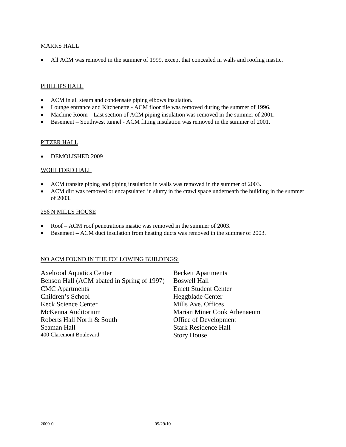#### MARKS HALL

• All ACM was removed in the summer of 1999, except that concealed in walls and roofing mastic.

## PHILLIPS HALL

- ACM in all steam and condensate piping elbows insulation.
- Lounge entrance and Kitchenette ACM floor tile was removed during the summer of 1996.
- Machine Room Last section of ACM piping insulation was removed in the summer of 2001.
- Basement Southwest tunnel ACM fitting insulation was removed in the summer of 2001.

#### PITZER HALL

• DEMOLISHED 2009

## WOHLFORD HALL

- ACM transite piping and piping insulation in walls was removed in the summer of 2003.
- ACM dirt was removed or encapsulated in slurry in the crawl space underneath the building in the summer of 2003.

#### 256 N MILLS HOUSE

- Roof ACM roof penetrations mastic was removed in the summer of 2003.
- Basement ACM duct insulation from heating ducts was removed in the summer of 2003.

#### NO ACM FOUND IN THE FOLLOWING BUILDINGS:

| <b>Axelrood Aquatics Center</b>            | <b>Beckett Apartments</b>   |
|--------------------------------------------|-----------------------------|
| Benson Hall (ACM abated in Spring of 1997) | <b>Boswell Hall</b>         |
| <b>CMC</b> Apartments                      | <b>Emett Student Center</b> |
| Children's School                          | Heggblade Center            |
| <b>Keck Science Center</b>                 | Mills Ave. Offices          |
| McKenna Auditorium                         | Marian Miner Cook Athenaeum |
| Roberts Hall North & South                 | Office of Development       |
| Seaman Hall                                | <b>Stark Residence Hall</b> |
| 400 Claremont Boulevard                    | <b>Story House</b>          |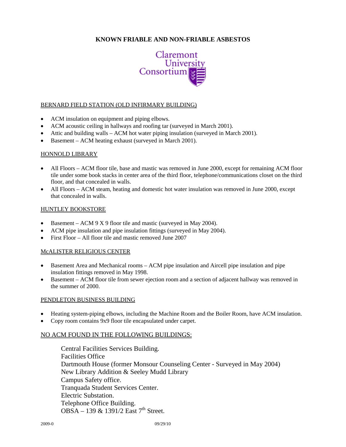

## BERNARD FIELD STATION (OLD INFIRMARY BUILDING)

- ACM insulation on equipment and piping elbows.
- ACM acoustic ceiling in hallways and roofing tar (surveyed in March 2001).
- Attic and building walls ACM hot water piping insulation (surveyed in March 2001).
- Basement ACM heating exhaust (surveyed in March 2001).

#### HONNOLD LIBRARY

- All Floors ACM floor tile, base and mastic was removed in June 2000, except for remaining ACM floor tile under some book stacks in center area of the third floor, telephone/communications closet on the third floor, and that concealed in walls.
- All Floors ACM steam, heating and domestic hot water insulation was removed in June 2000, except that concealed in walls.

#### HUNTLEY BOOKSTORE

- Basement ACM 9 X 9 floor tile and mastic (surveyed in May 2004).
- ACM pipe insulation and pipe insulation fittings (surveyed in May 2004).
- First Floor All floor tile and mastic removed June 2007

#### McALISTER RELIGIOUS CENTER

- Basement Area and Mechanical rooms ACM pipe insulation and Aircell pipe insulation and pipe insulation fittings removed in May 1998.
- Basement ACM floor tile from sewer ejection room and a section of adjacent hallway was removed in the summer of 2000.

#### PENDLETON BUSINESS BUILDING

- Heating system-piping elbows, including the Machine Room and the Boiler Room, have ACM insulation.
- Copy room contains 9x9 floor tile encapsulated under carpet.

#### NO ACM FOUND IN THE FOLLOWING BUILDINGS:

Central Facilities Services Building. Facilities Office Dartmouth House (former Monsour Counseling Center - Surveyed in May 2004) New Library Addition & Seeley Mudd Library Campus Safety office. Tranquada Student Services Center. Electric Substation. Telephone Office Building. OBSA – 139  $\&$  1391/2 East 7<sup>th</sup> Street.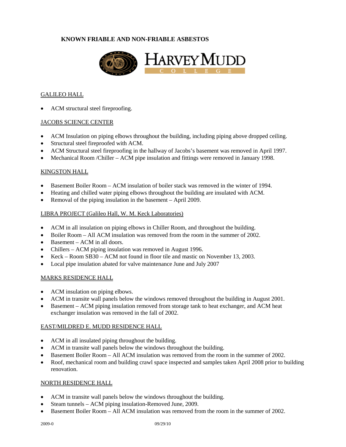

#### GALILEO HALL

ACM structural steel fireproofing.

## JACOBS SCIENCE CENTER

- ACM Insulation on piping elbows throughout the building, including piping above dropped ceiling.
- Structural steel fireproofed with ACM.
- ACM Structural steel fireproofing in the hallway of Jacobs's basement was removed in April 1997.
- Mechanical Room /Chiller ACM pipe insulation and fittings were removed in January 1998.

#### KINGSTON HALL

- Basement Boiler Room ACM insulation of boiler stack was removed in the winter of 1994.
- Heating and chilled water piping elbows throughout the building are insulated with ACM.
- Removal of the piping insulation in the basement April 2009.

## LIBRA PROJECT (Galileo Hall, W. M. Keck Laboratories)

- ACM in all insulation on piping elbows in Chiller Room, and throughout the building.
- Boiler Room All ACM insulation was removed from the room in the summer of 2002.
- Basement ACM in all doors.
- Chillers ACM piping insulation was removed in August 1996.
- Keck Room SB30 ACM not found in floor tile and mastic on November 13, 2003.
- Local pipe insulation abated for valve maintenance June and July 2007

## MARKS RESIDENCE HALL

- ACM insulation on piping elbows.
- ACM in transite wall panels below the windows removed throughout the building in August 2001.
- Basement ACM piping insulation removed from storage tank to heat exchanger, and ACM heat exchanger insulation was removed in the fall of 2002.

#### EAST/MILDRED E. MUDD RESIDENCE HALL

- ACM in all insulated piping throughout the building.
- ACM in transite wall panels below the windows throughout the building.
- Basement Boiler Room All ACM insulation was removed from the room in the summer of 2002.
- Roof, mechanical room and building crawl space inspected and samples taken April 2008 prior to building renovation.

#### NORTH RESIDENCE HALL

- ACM in transite wall panels below the windows throughout the building.
- Steam tunnels ACM piping insulation-Removed June, 2009.
- Basement Boiler Room All ACM insulation was removed from the room in the summer of 2002.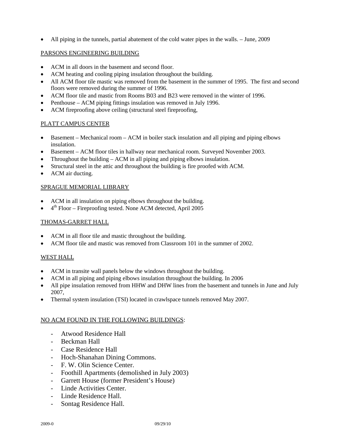• All piping in the tunnels, partial abatement of the cold water pipes in the walls. – June, 2009

## PARSONS ENGINEERING BUILDING

- ACM in all doors in the basement and second floor.
- ACM heating and cooling piping insulation throughout the building.
- All ACM floor tile mastic was removed from the basement in the summer of 1995. The first and second floors were removed during the summer of 1996.
- ACM floor tile and mastic from Rooms B03 and B23 were removed in the winter of 1996.
- Penthouse ACM piping fittings insulation was removed in July 1996.
- ACM fireproofing above ceiling (structural steel fireproofing,

## PLATT CAMPUS CENTER

- Basement Mechanical room ACM in boiler stack insulation and all piping and piping elbows insulation.
- Basement ACM floor tiles in hallway near mechanical room. Surveyed November 2003.
- Throughout the building ACM in all piping and piping elbows insulation.
- Structural steel in the attic and throughout the building is fire proofed with ACM.
- ACM air ducting.

## SPRAGUE MEMORIAL LIBRARY

- ACM in all insulation on piping elbows throughout the building.
- $4<sup>th</sup>$  Floor Fireproofing tested. None ACM detected, April 2005

## THOMAS-GARRET HALL

- ACM in all floor tile and mastic throughout the building.
- ACM floor tile and mastic was removed from Classroom 101 in the summer of 2002.

## WEST HALL

- ACM in transite wall panels below the windows throughout the building.
- ACM in all piping and piping elbows insulation throughout the building. In 2006
- All pipe insulation removed from HHW and DHW lines from the basement and tunnels in June and July 2007,
- Thermal system insulation (TSI) located in crawlspace tunnels removed May 2007.

## NO ACM FOUND IN THE FOLLOWING BUILDINGS:

- Atwood Residence Hall
- Beckman Hall
- Case Residence Hall
- Hoch-Shanahan Dining Commons.
- F. W. Olin Science Center.
- Foothill Apartments (demolished in July 2003)
- Garrett House (former President's House)
- Linde Activities Center.
- Linde Residence Hall.
- Sontag Residence Hall.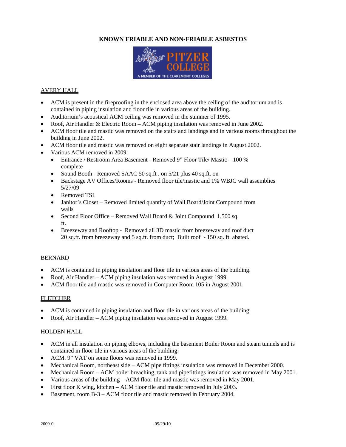

## AVERY HALL

- ACM is present in the fireproofing in the enclosed area above the ceiling of the auditorium and is contained in piping insulation and floor tile in various areas of the building.
- Auditorium's acoustical ACM ceiling was removed in the summer of 1995.
- Roof, Air Handler & Electric Room ACM piping insulation was removed in June 2002.
- ACM floor tile and mastic was removed on the stairs and landings and in various rooms throughout the building in June 2002.
- ACM floor tile and mastic was removed on eight separate stair landings in August 2002.
- Various ACM removed in 2009:
	- Entrance / Restroom Area Basement Removed 9" Floor Tile/ Mastic 100 % complete
	- Sound Booth Removed SAAC 50 sq.ft . on 5/21 plus 40 sq.ft. on
	- Backstage AV Offices/Rooms Removed floor tile/mastic and 1% WBJC wall assemblies 5/27/09
	- Removed TSI
	- Janitor's Closet Removed limited quantity of Wall Board/Joint Compound from walls
	- Second Floor Office Removed Wall Board & Joint Compound 1,500 sq. ft.
	- Breezeway and Rooftop Removed all 3D mastic from breezeway and roof duct 20 sq.ft. from breezeway and 5 sq.ft. from duct; Built roof - 150 sq. ft. abated.

#### BERNARD

- ACM is contained in piping insulation and floor tile in various areas of the building.
- Roof, Air Handler ACM piping insulation was removed in August 1999.
- ACM floor tile and mastic was removed in Computer Room 105 in August 2001.

#### **FLETCHER**

- ACM is contained in piping insulation and floor tile in various areas of the building.
- Roof, Air Handler ACM piping insulation was removed in August 1999.

#### HOLDEN HALL

- ACM in all insulation on piping elbows, including the basement Boiler Room and steam tunnels and is contained in floor tile in various areas of the building.
- ACM. 9" VAT on some floors was removed in 1999.
- Mechanical Room, northeast side ACM pipe fittings insulation was removed in December 2000.
- Mechanical Room ACM boiler breaching, tank and pipefittings insulation was removed in May 2001.
- Various areas of the building ACM floor tile and mastic was removed in May 2001.
- First floor K wing, kitchen ACM floor tile and mastic removed in July 2003.
- Basement, room B-3 ACM floor tile and mastic removed in February 2004.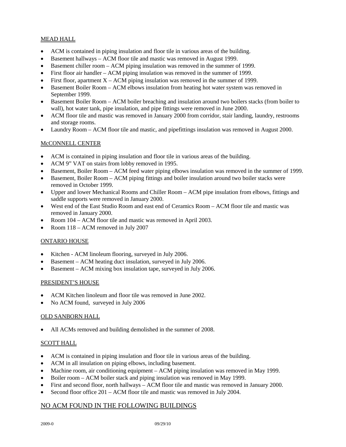## MEAD HALL

- ACM is contained in piping insulation and floor tile in various areas of the building.
- Basement hallways ACM floor tile and mastic was removed in August 1999.
- Basement chiller room ACM piping insulation was removed in the summer of 1999.
- First floor air handler ACM piping insulation was removed in the summer of 1999.
- First floor, apartment  $X ACM$  piping insulation was removed in the summer of 1999.
- Basement Boiler Room ACM elbows insulation from heating hot water system was removed in September 1999.
- Basement Boiler Room ACM boiler breaching and insulation around two boilers stacks (from boiler to wall), hot water tank, pipe insulation, and pipe fittings were removed in June 2000.
- ACM floor tile and mastic was removed in January 2000 from corridor, stair landing, laundry, restrooms and storage rooms.
- Laundry Room ACM floor tile and mastic, and pipefittings insulation was removed in August 2000.

## McCONNELL CENTER

- ACM is contained in piping insulation and floor tile in various areas of the building.
- ACM 9" VAT on stairs from lobby removed in 1995.
- Basement, Boiler Room ACM feed water piping elbows insulation was removed in the summer of 1999.
- Basement, Boiler Room ACM piping fittings and boiler insulation around two boiler stacks were removed in October 1999.
- Upper and lower Mechanical Rooms and Chiller Room ACM pipe insulation from elbows, fittings and saddle supports were removed in January 2000.
- West end of the East Studio Room and east end of Ceramics Room ACM floor tile and mastic was removed in January 2000.
- Room 104 ACM floor tile and mastic was removed in April 2003.
- Room 118 ACM removed in July 2007

## ONTARIO HOUSE

- Kitchen ACM linoleum flooring, surveyed in July 2006.
- Basement ACM heating duct insulation, surveyed in July 2006.
- Basement ACM mixing box insulation tape, surveyed in July 2006.

## PRESIDENT'S HOUSE

- ACM Kitchen linoleum and floor tile was removed in June 2002.
- No ACM found, surveyed in July 2006

## OLD SANBORN HALL

All ACMs removed and building demolished in the summer of 2008.

## SCOTT HALL

- ACM is contained in piping insulation and floor tile in various areas of the building.
- ACM in all insulation on piping elbows, including basement.
- Machine room, air conditioning equipment ACM piping insulation was removed in May 1999.
- Boiler room ACM boiler stack and piping insulation was removed in May 1999.
- First and second floor, north hallways ACM floor tile and mastic was removed in January 2000.
- Second floor office 201 ACM floor tile and mastic was removed in July 2004.

## NO ACM FOUND IN THE FOLLOWING BUILDINGS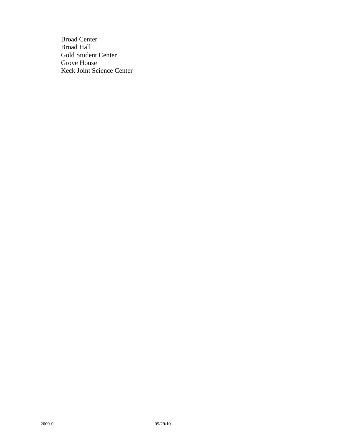Broad Center Broad Hall Gold Student Center Grove House Keck Joint Science Center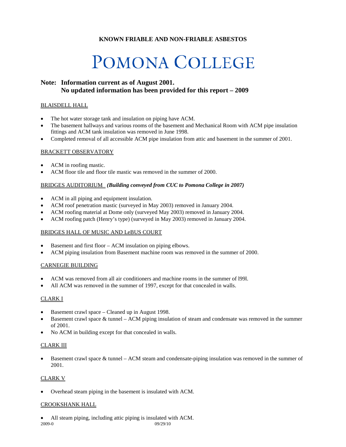## POMONA COLLEGE

## **Note: Information current as of August 2001. No updated information has been provided for this report – 2009**

#### BLAISDELL HALL

- The hot water storage tank and insulation on piping have ACM.
- The basement hallways and various rooms of the basement and Mechanical Room with ACM pipe insulation fittings and ACM tank insulation was removed in June 1998.
- Completed removal of all accessible ACM pipe insulation from attic and basement in the summer of 2001.

#### BRACKETT OBSERVATORY

- ACM in roofing mastic.
- ACM floor tile and floor tile mastic was removed in the summer of 2000.

## BRIDGES AUDITORIUM *(Building conveyed from CUC to Pomona College in 2007)*

- ACM in all piping and equipment insulation.
- ACM roof penetration mastic (surveyed in May 2003) removed in January 2004.
- ACM roofing material at Dome only (surveyed May 2003) removed in January 2004.
- ACM roofing patch (Henry's type) (surveyed in May 2003) removed in January 2004.

#### BRIDGES HALL OF MUSIC AND LeBUS COURT

- Basement and first floor ACM insulation on piping elbows.
- ACM piping insulation from Basement machine room was removed in the summer of 2000.

## CARNEGIE BUILDING

- ACM was removed from all air conditioners and machine rooms in the summer of l99l.
- All ACM was removed in the summer of 1997, except for that concealed in walls.

#### CLARK I

- Basement crawl space Cleaned up in August 1998.
- Basement crawl space & tunnel ACM piping insulation of steam and condensate was removed in the summer of 2001.
- No ACM in building except for that concealed in walls.

#### CLARK III

Basement crawl space  $\&$  tunnel – ACM steam and condensate-piping insulation was removed in the summer of 2001.

#### CLARK V

• Overhead steam piping in the basement is insulated with ACM.

#### CROOKSHANK HALL

2009-0 09/29/10 • All steam piping, including attic piping is insulated with ACM.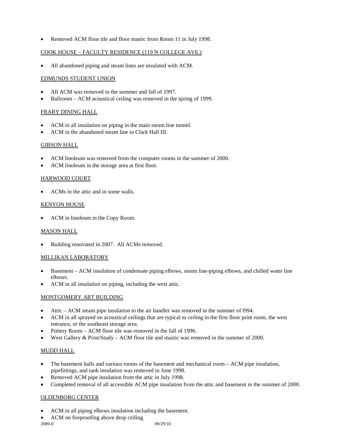• Removed ACM floor tile and floor mastic from Room 11 in July 1998.

## COOK HOUSE – FACULTY RESIDENCE (119 N COLLEGE AVE.)

• All abandoned piping and steam lines are insulated with ACM.

#### EDMUNDS STUDENT UNION

- All ACM was removed in the summer and fall of 1997.
- Ballroom ACM acoustical ceiling was removed in the spring of 1999.

## FRARY DINING HALL

- ACM in all insulation on piping in the main steam line tunnel.
- ACM in the abandoned steam line to Clark Hall III.

## GIBSON HALL

- ACM linoleum was removed from the computer rooms in the summer of 2000.
- ACM linoleum in the storage area at first floor.

## HARWOOD COURT

• ACMs in the attic and in some walls.

## KENYON HOUSE

ACM in linoleum in the Copy Room.

## MASON HALL

• Building renovated in 2007. All ACMs removed.

#### MILLIKAN LABORATORY

- Basement ACM insulation of condensate piping elbows, steam line-piping elbows, and chilled water line elbows.
- ACM in all insulation on piping, including the west attic.

#### MONTGOMERY ART BUILDING

- Attic ACM steam pipe insulation to the air handler was removed in the summer of l994.
- ACM in all sprayed on acoustical ceilings that are typical to ceiling in the first floor print room, the west entrance, or the southeast storage area.
- Pottery Room ACM floor tile was removed in the fall of 1996.
- West Gallery & Print/Study ACM floor tile and mastic was removed in the summer of 2000.

## MUDD HALL

- The basement halls and various rooms of the basement and mechanical room ACM pipe insulation, pipefittings, and tank insulation was removed in June 1998.
- Removed ACM pipe insulation from the attic in July 1998.
- Completed removal of all accessible ACM pipe insulation from the attic and basement in the summer of 2000.

## OLDENBORG CENTER

- ACM in all piping elbows insulation including the basement.
	- ACM on fireproofing above drop ceiling.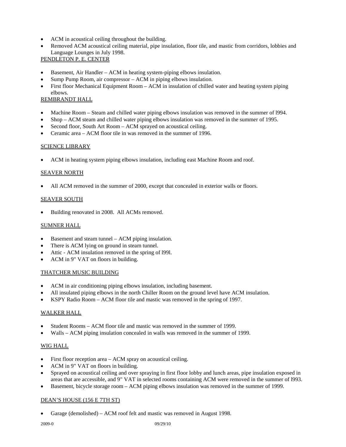- ACM in acoustical ceiling throughout the building.
- Removed ACM acoustical ceiling material, pipe insulation, floor tile, and mastic from corridors, lobbies and Language Lounges in July 1998.

## PENDLETON P. E. CENTER

- Basement, Air Handler ACM in heating system-piping elbows insulation.
- Sump Pump Room, air compressor ACM in piping elbows insulation.
- First floor Mechanical Equipment Room ACM in insulation of chilled water and heating system piping elbows.

## REMBRANDT HALL

- Machine Room Steam and chilled water piping elbows insulation was removed in the summer of l994.
- Shop ACM steam and chilled water piping elbows insulation was removed in the summer of 1995.
- Second floor, South Art Room ACM sprayed on acoustical ceiling.
- Ceramic area ACM floor tile in was removed in the summer of 1996.

## SCIENCE LIBRARY

• ACM in heating system piping elbows insulation, including east Machine Room and roof.

## SEAVER NORTH

All ACM removed in the summer of 2000, except that concealed in exterior walls or floors.

## SEAVER SOUTH

• Building renovated in 2008. All ACMs removed.

#### SUMNER HALL

- Basement and steam tunnel ACM piping insulation.
- There is ACM lying on ground in steam tunnel.
- Attic ACM insulation removed in the spring of 1991.
- ACM in 9" VAT on floors in building.

#### THATCHER MUSIC BUILDING

- ACM in air conditioning piping elbows insulation, including basement.
- All insulated piping elbows in the north Chiller Room on the ground level have ACM insulation.
- KSPY Radio Room ACM floor tile and mastic was removed in the spring of 1997.

## WALKER HALL

- Student Rooms ACM floor tile and mastic was removed in the summer of 1999.
- Walls ACM piping insulation concealed in walls was removed in the summer of 1999.

## WIG HALL

- First floor reception area ACM spray on acoustical ceiling.
- ACM in 9" VAT on floors in building.
- Sprayed on acoustical ceiling and over spraying in first floor lobby and lunch areas, pipe insulation exposed in areas that are accessible, and 9" VAT in selected rooms containing ACM were removed in the summer of l993.
- Basement, bicycle storage room ACM piping elbows insulation was removed in the summer of 1999.

#### DEAN'S HOUSE (156 E 7TH ST)

• Garage (demolished) – ACM roof felt and mastic was removed in August 1998.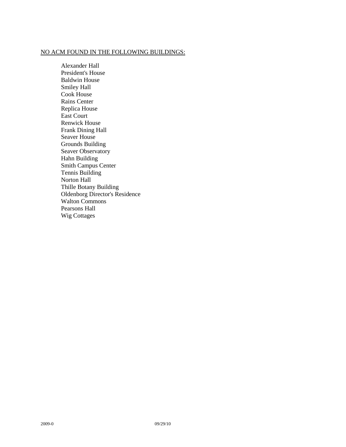## NO ACM FOUND IN THE FOLLOWING BUILDINGS:

Alexander Hall President's House Baldwin House Smiley Hall Cook House Rains Center Replica House East Court Renwick House Frank Dining Hall Seaver House Grounds Building Seaver Observatory Hahn Building Smith Campus Center Tennis Building Norton Hall Thille Botany Building Oldenborg Director's Residence Walton Commons Pearsons Hall Wig Cottages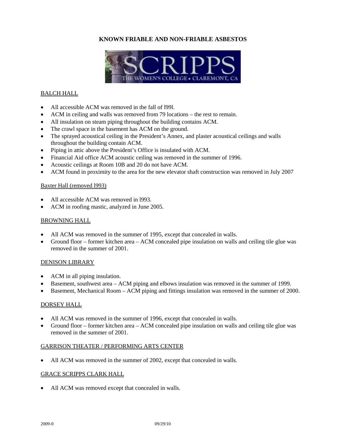

## BALCH HALL

- All accessible ACM was removed in the fall of 1991.
- ACM in ceiling and walls was removed from 79 locations the rest to remain.
- All insulation on steam piping throughout the building contains ACM.
- The crawl space in the basement has ACM on the ground.
- The sprayed acoustical ceiling in the President's Annex, and plaster acoustical ceilings and walls throughout the building contain ACM.
- Piping in attic above the President's Office is insulated with ACM.
- Financial Aid office ACM acoustic ceiling was removed in the summer of 1996.
- Acoustic ceilings at Room 10B and 20 do not have ACM.
- ACM found in proximity to the area for the new elevator shaft construction was removed in July 2007

#### Baxter Hall (removed l993)

- All accessible ACM was removed in l993.
- ACM in roofing mastic, analyzed in June 2005.

#### BROWNING HALL

- All ACM was removed in the summer of 1995, except that concealed in walls.
- Ground floor former kitchen area ACM concealed pipe insulation on walls and ceiling tile glue was removed in the summer of 2001.

#### DENISON LIBRARY

- ACM in all piping insulation.
- Basement, southwest area ACM piping and elbows insulation was removed in the summer of 1999.
- Basement, Mechanical Room ACM piping and fittings insulation was removed in the summer of 2000.

#### DORSEY HALL

- All ACM was removed in the summer of 1996, except that concealed in walls.
- Ground floor former kitchen area ACM concealed pipe insulation on walls and ceiling tile glue was removed in the summer of 2001.

#### GARRISON THEATER / PERFORMING ARTS CENTER

• All ACM was removed in the summer of 2002, except that concealed in walls.

#### GRACE SCRIPPS CLARK HALL

All ACM was removed except that concealed in walls.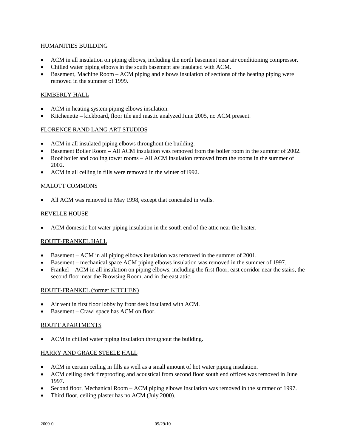## HUMANITIES BUILDING

- ACM in all insulation on piping elbows, including the north basement near air conditioning compressor.
- Chilled water piping elbows in the south basement are insulated with ACM.
- Basement, Machine Room ACM piping and elbows insulation of sections of the heating piping were removed in the summer of 1999.

## KIMBERLY HALL

- ACM in heating system piping elbows insulation.
- Kitchenette kickboard, floor tile and mastic analyzed June 2005, no ACM present.

#### FLORENCE RAND LANG ART STUDIOS

- ACM in all insulated piping elbows throughout the building.
- Basement Boiler Room All ACM insulation was removed from the boiler room in the summer of 2002.
- Roof boiler and cooling tower rooms All ACM insulation removed from the rooms in the summer of 2002.
- ACM in all ceiling in fills were removed in the winter of l992.

## MALOTT COMMONS

• All ACM was removed in May 1998, except that concealed in walls.

## REVELLE HOUSE

• ACM domestic hot water piping insulation in the south end of the attic near the heater.

#### ROUTT-FRANKEL HALL

- Basement ACM in all piping elbows insulation was removed in the summer of 2001.
- Basement mechanical space ACM piping elbows insulation was removed in the summer of 1997.
- Frankel ACM in all insulation on piping elbows, including the first floor, east corridor near the stairs, the second floor near the Browsing Room, and in the east attic.

#### ROUTT-FRANKEL (former KITCHEN)

- Air vent in first floor lobby by front desk insulated with ACM.
- Basement Crawl space has ACM on floor.

#### ROUTT APARTMENTS

• ACM in chilled water piping insulation throughout the building.

#### HARRY AND GRACE STEELE HALL

- ACM in certain ceiling in fills as well as a small amount of hot water piping insulation.
- ACM ceiling deck fireproofing and acoustical from second floor south end offices was removed in June 1997.
- Second floor, Mechanical Room ACM piping elbows insulation was removed in the summer of 1997.
- Third floor, ceiling plaster has no ACM (July 2000).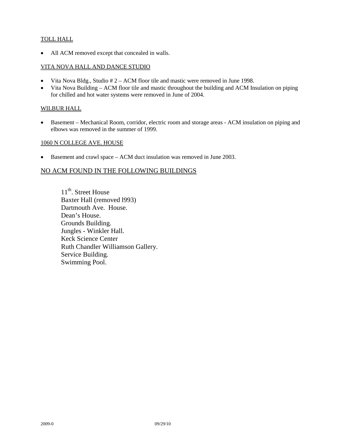## TOLL HALL

• All ACM removed except that concealed in walls.

## VITA NOVA HALL AND DANCE STUDIO

- Vita Nova Bldg., Studio # 2 ACM floor tile and mastic were removed in June 1998.
- Vita Nova Building ACM floor tile and mastic throughout the building and ACM Insulation on piping for chilled and hot water systems were removed in June of 2004.

## WILBUR HALL

• Basement – Mechanical Room, corridor, electric room and storage areas - ACM insulation on piping and elbows was removed in the summer of 1999.

## 1060 N COLLEGE AVE. HOUSE

• Basement and crawl space – ACM duct insulation was removed in June 2003.

## NO ACM FOUND IN THE FOLLOWING BUILDINGS

11<sup>th</sup>. Street House Baxter Hall (removed l993) Dartmouth Ave. House. Dean's House. Grounds Building. Jungles - Winkler Hall. Keck Science Center Ruth Chandler Williamson Gallery. Service Building. Swimming Pool.